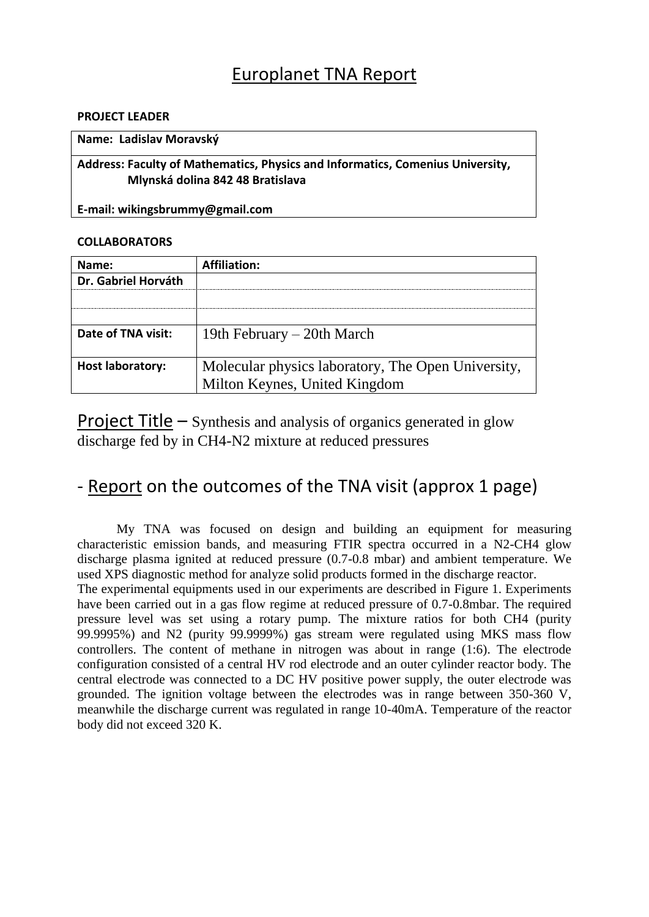# Europlanet TNA Report

## **PROJECT LEADER**

#### **Name: Ladislav Moravský**

**Address: Faculty of Mathematics, Physics and Informatics, Comenius University, Mlynská dolina 842 48 Bratislava**

**E-mail: wikingsbrummy@gmail.com**

## **COLLABORATORS**

| Name:                   | <b>Affiliation:</b>                                |
|-------------------------|----------------------------------------------------|
| Dr. Gabriel Horváth     |                                                    |
|                         |                                                    |
|                         |                                                    |
| Date of TNA visit:      | 19th February – 20th March                         |
|                         |                                                    |
| <b>Host laboratory:</b> | Molecular physics laboratory, The Open University, |
|                         | Milton Keynes, United Kingdom                      |

Project Title – Synthesis and analysis of organics generated in glow discharge fed by in CH4-N2 mixture at reduced pressures

## - Report on the outcomes of the TNA visit (approx 1 page)

My TNA was focused on design and building an equipment for measuring characteristic emission bands, and measuring FTIR spectra occurred in a N2-CH4 glow discharge plasma ignited at reduced pressure (0.7-0.8 mbar) and ambient temperature. We used XPS diagnostic method for analyze solid products formed in the discharge reactor.

The experimental equipments used in our experiments are described in Figure 1. Experiments have been carried out in a gas flow regime at reduced pressure of 0.7-0.8mbar. The required pressure level was set using a rotary pump. The mixture ratios for both CH4 (purity 99.9995%) and N2 (purity 99.9999%) gas stream were regulated using MKS mass flow controllers. The content of methane in nitrogen was about in range (1:6). The electrode configuration consisted of a central HV rod electrode and an outer cylinder reactor body. The central electrode was connected to a DC HV positive power supply, the outer electrode was grounded. The ignition voltage between the electrodes was in range between 350-360 V, meanwhile the discharge current was regulated in range 10-40mA. Temperature of the reactor body did not exceed 320 K.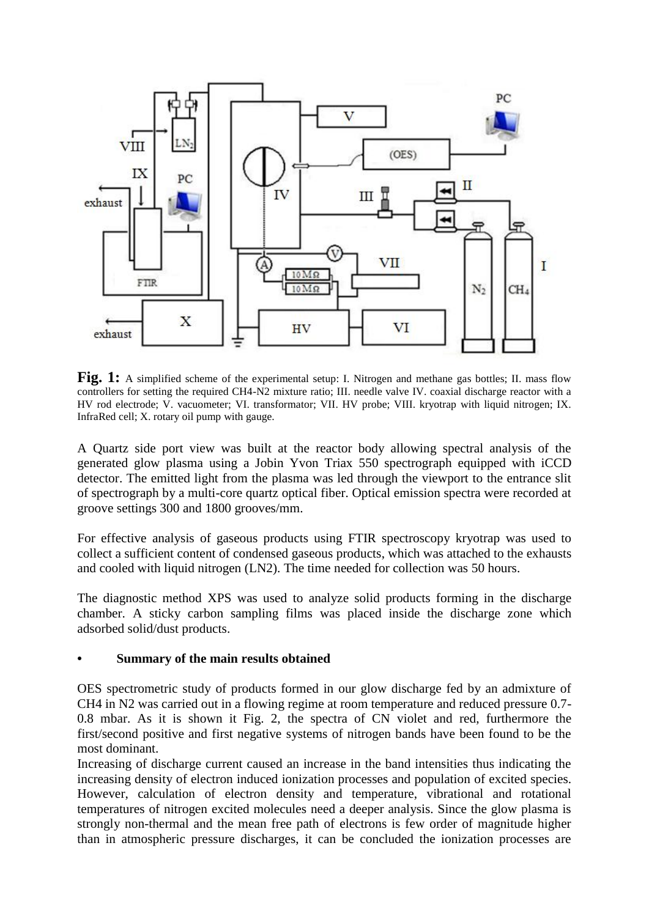

**Fig. 1:** A simplified scheme of the experimental setup: I. Nitrogen and methane gas bottles; II. mass flow controllers for setting the required CH4-N2 mixture ratio; III. needle valve IV. coaxial discharge reactor with a HV rod electrode; V. vacuometer; VI. transformator; VII. HV probe; VIII. kryotrap with liquid nitrogen; IX. InfraRed cell; X. rotary oil pump with gauge.

A Quartz side port view was built at the reactor body allowing spectral analysis of the generated glow plasma using a Jobin Yvon Triax 550 spectrograph equipped with iCCD detector. The emitted light from the plasma was led through the viewport to the entrance slit of spectrograph by a multi-core quartz optical fiber. Optical emission spectra were recorded at groove settings 300 and 1800 grooves/mm.

For effective analysis of gaseous products using FTIR spectroscopy kryotrap was used to collect a sufficient content of condensed gaseous products, which was attached to the exhausts and cooled with liquid nitrogen (LN2). The time needed for collection was 50 hours.

The diagnostic method XPS was used to analyze solid products forming in the discharge chamber. A sticky carbon sampling films was placed inside the discharge zone which adsorbed solid/dust products.

#### **• Summary of the main results obtained**

OES spectrometric study of products formed in our glow discharge fed by an admixture of CH4 in N2 was carried out in a flowing regime at room temperature and reduced pressure 0.7- 0.8 mbar. As it is shown it Fig. 2, the spectra of CN violet and red, furthermore the first/second positive and first negative systems of nitrogen bands have been found to be the most dominant.

Increasing of discharge current caused an increase in the band intensities thus indicating the increasing density of electron induced ionization processes and population of excited species. However, calculation of electron density and temperature, vibrational and rotational temperatures of nitrogen excited molecules need a deeper analysis. Since the glow plasma is strongly non-thermal and the mean free path of electrons is few order of magnitude higher than in atmospheric pressure discharges, it can be concluded the ionization processes are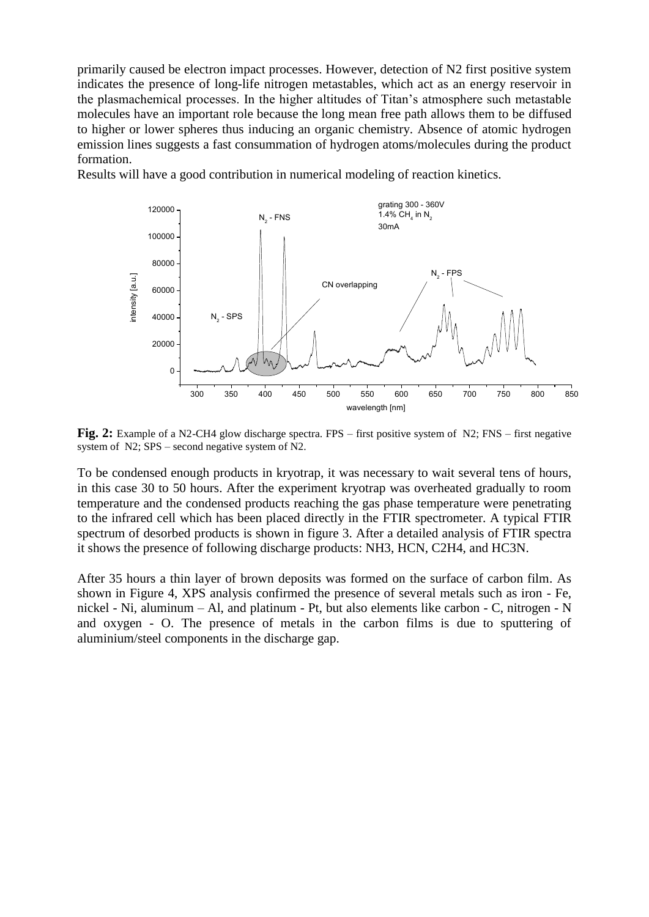primarily caused be electron impact processes. However, detection of N2 first positive system indicates the presence of long-life nitrogen metastables, which act as an energy reservoir in the plasmachemical processes. In the higher altitudes of Titan's atmosphere such metastable molecules have an important role because the long mean free path allows them to be diffused to higher or lower spheres thus inducing an organic chemistry. Absence of atomic hydrogen emission lines suggests a fast consummation of hydrogen atoms/molecules during the product formation.

Results will have a good contribution in numerical modeling of reaction kinetics.



**Fig. 2:** Example of a N2-CH4 glow discharge spectra. FPS – first positive system of N2; FNS – first negative system of N2; SPS – second negative system of N2.

To be condensed enough products in kryotrap, it was necessary to wait several tens of hours, in this case 30 to 50 hours. After the experiment kryotrap was overheated gradually to room temperature and the condensed products reaching the gas phase temperature were penetrating to the infrared cell which has been placed directly in the FTIR spectrometer. A typical FTIR spectrum of desorbed products is shown in figure 3. After a detailed analysis of FTIR spectra it shows the presence of following discharge products: NH3, HCN, C2H4, and HC3N.

After 35 hours a thin layer of brown deposits was formed on the surface of carbon film. As shown in Figure 4, XPS analysis confirmed the presence of several metals such as iron - Fe, nickel - Ni, aluminum – Al, and platinum - Pt, but also elements like carbon - C, nitrogen - N and oxygen - O. The presence of metals in the carbon films is due to sputtering of aluminium/steel components in the discharge gap.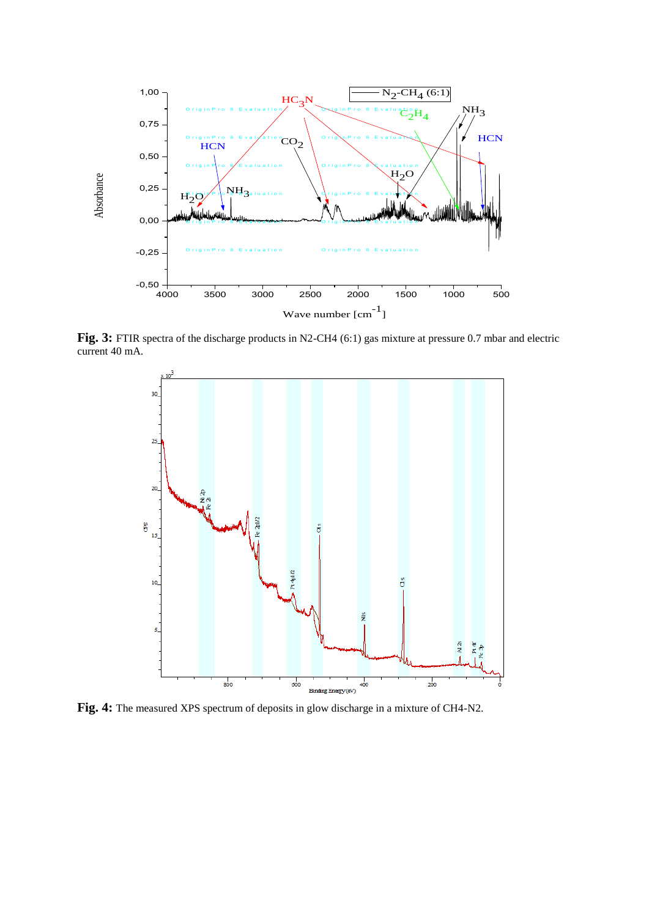

Fig. 3: FTIR spectra of the discharge products in N2-CH4 (6:1) gas mixture at pressure 0.7 mbar and electric current 40 mA.



**Fig. 4:** The measured XPS spectrum of deposits in glow discharge in a mixture of CH4-N2.